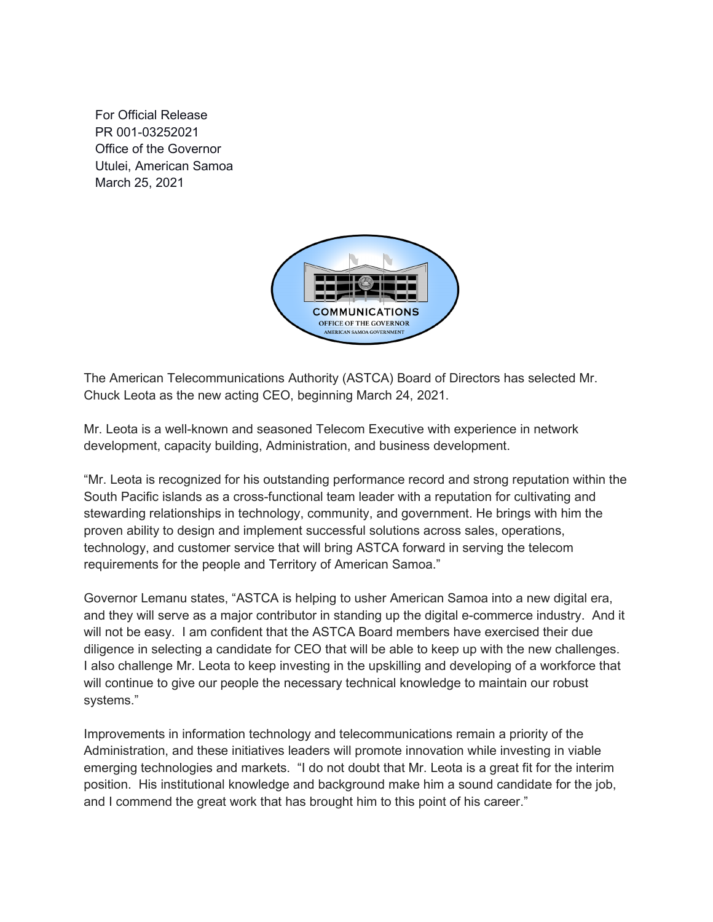For Official Release PR 001-03252021 Office of the Governor Utulei, American Samoa March 25, 2021



The American Telecommunications Authority (ASTCA) Board of Directors has selected Mr. Chuck Leota as the new acting CEO, beginning March 24, 2021.

Mr. Leota is a well-known and seasoned Telecom Executive with experience in network development, capacity building, Administration, and business development.

"Mr. Leota is recognized for his outstanding performance record and strong reputation within the South Pacific islands as a cross-functional team leader with a reputation for cultivating and stewarding relationships in technology, community, and government. He brings with him the proven ability to design and implement successful solutions across sales, operations, technology, and customer service that will bring ASTCA forward in serving the telecom requirements for the people and Territory of American Samoa."

Governor Lemanu states, "ASTCA is helping to usher American Samoa into a new digital era, and they will serve as a major contributor in standing up the digital e-commerce industry. And it will not be easy. I am confident that the ASTCA Board members have exercised their due diligence in selecting a candidate for CEO that will be able to keep up with the new challenges. I also challenge Mr. Leota to keep investing in the upskilling and developing of a workforce that will continue to give our people the necessary technical knowledge to maintain our robust systems."

Improvements in information technology and telecommunications remain a priority of the Administration, and these initiatives leaders will promote innovation while investing in viable emerging technologies and markets. "I do not doubt that Mr. Leota is a great fit for the interim position. His institutional knowledge and background make him a sound candidate for the job, and I commend the great work that has brought him to this point of his career."